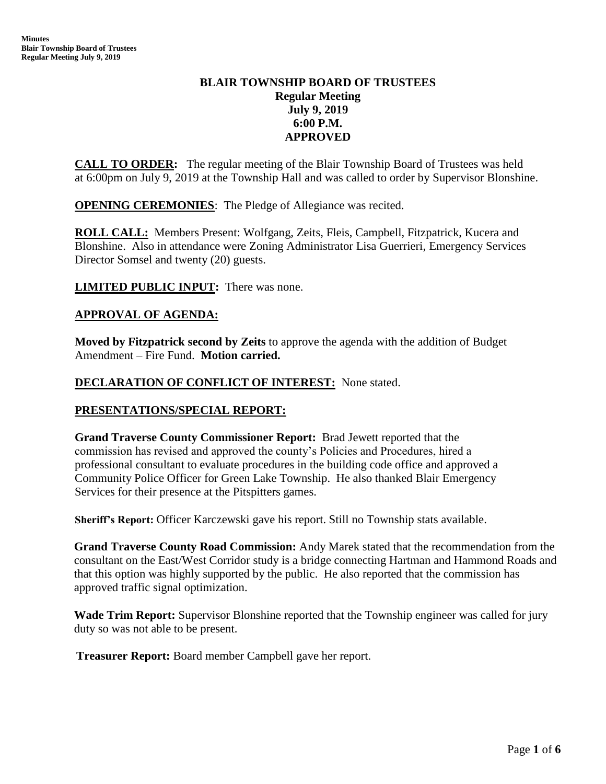# **BLAIR TOWNSHIP BOARD OF TRUSTEES Regular Meeting July 9, 2019 6:00 P.M. APPROVED**

**CALL TO ORDER:** The regular meeting of the Blair Township Board of Trustees was held at 6:00pm on July 9, 2019 at the Township Hall and was called to order by Supervisor Blonshine.

**OPENING CEREMONIES**: The Pledge of Allegiance was recited.

**ROLL CALL:** Members Present: Wolfgang, Zeits, Fleis, Campbell, Fitzpatrick, Kucera and Blonshine. Also in attendance were Zoning Administrator Lisa Guerrieri, Emergency Services Director Somsel and twenty (20) guests.

**LIMITED PUBLIC INPUT:** There was none.

## **APPROVAL OF AGENDA:**

**Moved by Fitzpatrick second by Zeits** to approve the agenda with the addition of Budget Amendment – Fire Fund. **Motion carried.**

#### **DECLARATION OF CONFLICT OF INTEREST:** None stated.

## **PRESENTATIONS/SPECIAL REPORT:**

**Grand Traverse County Commissioner Report:** Brad Jewett reported that the commission has revised and approved the county's Policies and Procedures, hired a professional consultant to evaluate procedures in the building code office and approved a Community Police Officer for Green Lake Township. He also thanked Blair Emergency Services for their presence at the Pitspitters games.

**Sheriff's Report:** Officer Karczewski gave his report. Still no Township stats available.

**Grand Traverse County Road Commission:** Andy Marek stated that the recommendation from the consultant on the East/West Corridor study is a bridge connecting Hartman and Hammond Roads and that this option was highly supported by the public. He also reported that the commission has approved traffic signal optimization.

**Wade Trim Report:** Supervisor Blonshine reported that the Township engineer was called for jury duty so was not able to be present.

 **Treasurer Report:** Board member Campbell gave her report.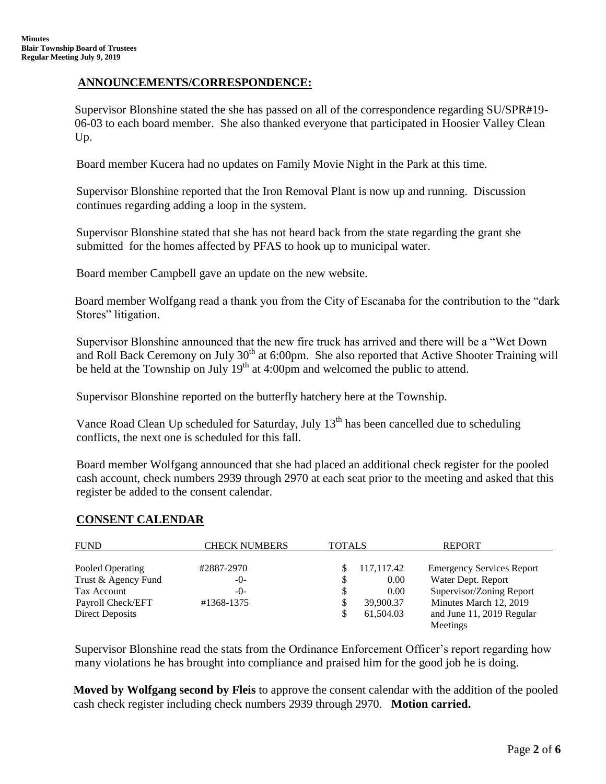# **ANNOUNCEMENTS/CORRESPONDENCE:**

Supervisor Blonshine stated the she has passed on all of the correspondence regarding SU/SPR#19- 06-03 to each board member. She also thanked everyone that participated in Hoosier Valley Clean Up.

Board member Kucera had no updates on Family Movie Night in the Park at this time.

 Supervisor Blonshine reported that the Iron Removal Plant is now up and running. Discussion continues regarding adding a loop in the system.

 Supervisor Blonshine stated that she has not heard back from the state regarding the grant she submitted for the homes affected by PFAS to hook up to municipal water.

Board member Campbell gave an update on the new website.

Board member Wolfgang read a thank you from the City of Escanaba for the contribution to the "dark Stores" litigation.

 Supervisor Blonshine announced that the new fire truck has arrived and there will be a "Wet Down and Roll Back Ceremony on July 30<sup>th</sup> at 6:00pm. She also reported that Active Shooter Training will be held at the Township on July  $19<sup>th</sup>$  at 4:00pm and welcomed the public to attend.

Supervisor Blonshine reported on the butterfly hatchery here at the Township.

Vance Road Clean Up scheduled for Saturday, July 13<sup>th</sup> has been cancelled due to scheduling conflicts, the next one is scheduled for this fall.

 Board member Wolfgang announced that she had placed an additional check register for the pooled cash account, check numbers 2939 through 2970 at each seat prior to the meeting and asked that this register be added to the consent calendar.

## **CONSENT CALENDAR**

| <b>FUND</b>         | <b>CHECK NUMBERS</b> | <b>TOTALS</b> |            | <b>REPORT</b>                    |
|---------------------|----------------------|---------------|------------|----------------------------------|
|                     |                      |               |            |                                  |
| Pooled Operating    | #2887-2970           |               | 117,117.42 | <b>Emergency Services Report</b> |
| Trust & Agency Fund | $-0-$                | \$            | 0.00       | Water Dept. Report               |
| Tax Account         | $-0-$                |               | 0.00       | Supervisor/Zoning Report         |
| Payroll Check/EFT   | #1368-1375           |               | 39,900.37  | Minutes March 12, 2019           |
| Direct Deposits     |                      |               | 61,504.03  | and June 11, 2019 Regular        |
|                     |                      |               |            | Meetings                         |

Supervisor Blonshine read the stats from the Ordinance Enforcement Officer's report regarding how many violations he has brought into compliance and praised him for the good job he is doing.

**Moved by Wolfgang second by Fleis** to approve the consent calendar with the addition of the pooled cash check register including check numbers 2939 through 2970. **Motion carried.**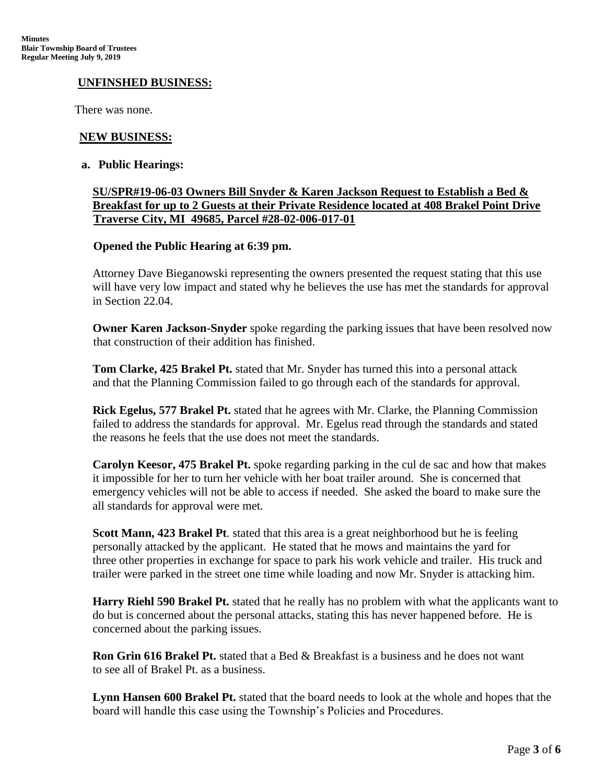## **UNFINSHED BUSINESS:**

There was none.

## **NEW BUSINESS:**

#### **a. Public Hearings:**

## **SU/SPR#19-06-03 Owners Bill Snyder & Karen Jackson Request to Establish a Bed & Breakfast for up to 2 Guests at their Private Residence located at 408 Brakel Point Drive Traverse City, MI 49685, Parcel #28-02-006-017-01**

#### **Opened the Public Hearing at 6:39 pm.**

Attorney Dave Bieganowski representing the owners presented the request stating that this use will have very low impact and stated why he believes the use has met the standards for approval in Section 22.04.

**Owner Karen Jackson-Snyder** spoke regarding the parking issues that have been resolved now that construction of their addition has finished.

**Tom Clarke, 425 Brakel Pt.** stated that Mr. Snyder has turned this into a personal attack and that the Planning Commission failed to go through each of the standards for approval.

**Rick Egelus, 577 Brakel Pt.** stated that he agrees with Mr. Clarke, the Planning Commission failed to address the standards for approval. Mr. Egelus read through the standards and stated the reasons he feels that the use does not meet the standards.

**Carolyn Keesor, 475 Brakel Pt.** spoke regarding parking in the cul de sac and how that makes it impossible for her to turn her vehicle with her boat trailer around. She is concerned that emergency vehicles will not be able to access if needed. She asked the board to make sure the all standards for approval were met.

**Scott Mann, 423 Brakel Pt**. stated that this area is a great neighborhood but he is feeling personally attacked by the applicant. He stated that he mows and maintains the yard for three other properties in exchange for space to park his work vehicle and trailer. His truck and trailer were parked in the street one time while loading and now Mr. Snyder is attacking him.

**Harry Riehl 590 Brakel Pt.** stated that he really has no problem with what the applicants want to do but is concerned about the personal attacks, stating this has never happened before. He is concerned about the parking issues.

**Ron Grin 616 Brakel Pt.** stated that a Bed & Breakfast is a business and he does not want to see all of Brakel Pt. as a business.

**Lynn Hansen 600 Brakel Pt.** stated that the board needs to look at the whole and hopes that the board will handle this case using the Township's Policies and Procedures.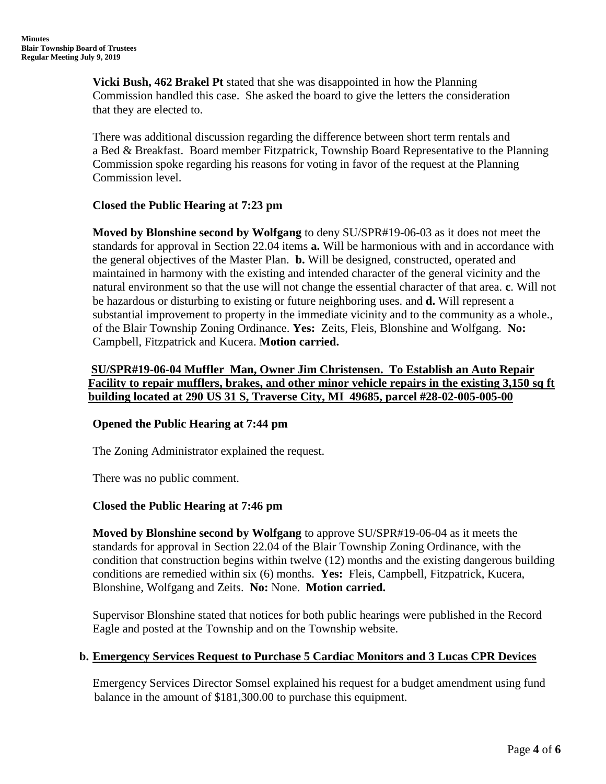**Vicki Bush, 462 Brakel Pt** stated that she was disappointed in how the Planning Commission handled this case. She asked the board to give the letters the consideration that they are elected to.

There was additional discussion regarding the difference between short term rentals and a Bed & Breakfast. Board member Fitzpatrick, Township Board Representative to the Planning Commission spoke regarding his reasons for voting in favor of the request at the Planning Commission level.

# **Closed the Public Hearing at 7:23 pm**

**Moved by Blonshine second by Wolfgang** to deny SU/SPR#19-06-03 as it does not meet the standards for approval in Section 22.04 items **a.** Will be harmonious with and in accordance with the general objectives of the Master Plan. **b.** Will be designed, constructed, operated and maintained in harmony with the existing and intended character of the general vicinity and the natural environment so that the use will not change the essential character of that area. **c**. Will not be hazardous or disturbing to existing or future neighboring uses. and **d.** Will represent a substantial improvement to property in the immediate vicinity and to the community as a whole., of the Blair Township Zoning Ordinance. **Yes:** Zeits, Fleis, Blonshine and Wolfgang. **No:** Campbell, Fitzpatrick and Kucera. **Motion carried.**

**SU/SPR#19-06-04 Muffler Man, Owner Jim Christensen. To Establish an Auto Repair Facility to repair mufflers, brakes, and other minor vehicle repairs in the existing 3,150 sq ft building located at 290 US 31 S, Traverse City, MI 49685, parcel #28-02-005-005-00**

## **Opened the Public Hearing at 7:44 pm**

The Zoning Administrator explained the request.

There was no public comment.

# **Closed the Public Hearing at 7:46 pm**

**Moved by Blonshine second by Wolfgang** to approve SU/SPR#19-06-04 as it meets the standards for approval in Section 22.04 of the Blair Township Zoning Ordinance, with the condition that construction begins within twelve (12) months and the existing dangerous building conditions are remedied within six (6) months. **Yes:** Fleis, Campbell, Fitzpatrick, Kucera, Blonshine, Wolfgang and Zeits. **No:** None. **Motion carried.**

Supervisor Blonshine stated that notices for both public hearings were published in the Record Eagle and posted at the Township and on the Township website.

## **b. Emergency Services Request to Purchase 5 Cardiac Monitors and 3 Lucas CPR Devices**

Emergency Services Director Somsel explained his request for a budget amendment using fund balance in the amount of \$181,300.00 to purchase this equipment.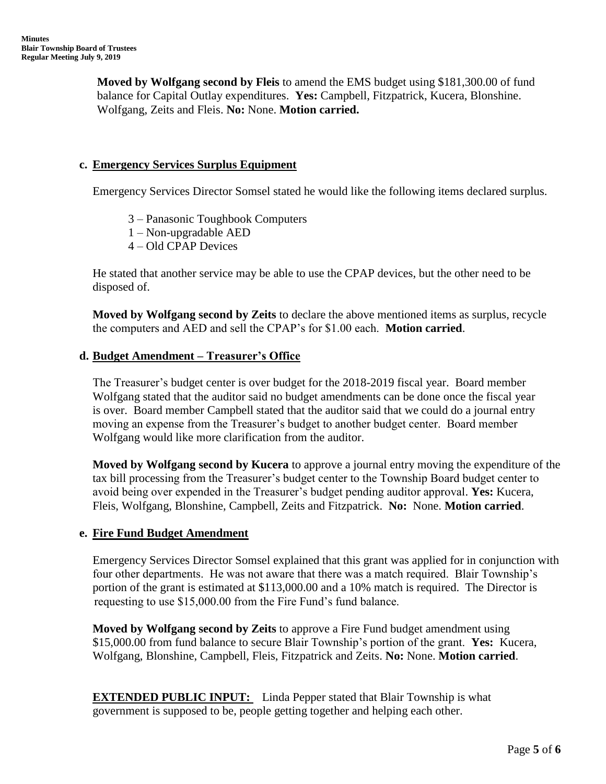**Moved by Wolfgang second by Fleis** to amend the EMS budget using \$181,300.00 of fund balance for Capital Outlay expenditures. **Yes:** Campbell, Fitzpatrick, Kucera, Blonshine. Wolfgang, Zeits and Fleis. **No:** None. **Motion carried.**

## **c. Emergency Services Surplus Equipment**

Emergency Services Director Somsel stated he would like the following items declared surplus.

- 3 Panasonic Toughbook Computers
- 1 Non-upgradable AED
- 4 Old CPAP Devices

He stated that another service may be able to use the CPAP devices, but the other need to be disposed of.

**Moved by Wolfgang second by Zeits** to declare the above mentioned items as surplus, recycle the computers and AED and sell the CPAP's for \$1.00 each. **Motion carried**.

#### **d. Budget Amendment – Treasurer's Office**

The Treasurer's budget center is over budget for the 2018-2019 fiscal year. Board member Wolfgang stated that the auditor said no budget amendments can be done once the fiscal year is over. Board member Campbell stated that the auditor said that we could do a journal entry moving an expense from the Treasurer's budget to another budget center. Board member Wolfgang would like more clarification from the auditor.

**Moved by Wolfgang second by Kucera** to approve a journal entry moving the expenditure of the tax bill processing from the Treasurer's budget center to the Township Board budget center to avoid being over expended in the Treasurer's budget pending auditor approval. **Yes:** Kucera, Fleis, Wolfgang, Blonshine, Campbell, Zeits and Fitzpatrick. **No:** None. **Motion carried**.

## **e. Fire Fund Budget Amendment**

Emergency Services Director Somsel explained that this grant was applied for in conjunction with four other departments. He was not aware that there was a match required. Blair Township's portion of the grant is estimated at \$113,000.00 and a 10% match is required. The Director is requesting to use \$15,000.00 from the Fire Fund's fund balance.

**Moved by Wolfgang second by Zeits** to approve a Fire Fund budget amendment using \$15,000.00 from fund balance to secure Blair Township's portion of the grant. **Yes:** Kucera, Wolfgang, Blonshine, Campbell, Fleis, Fitzpatrick and Zeits. **No:** None. **Motion carried**.

**EXTENDED PUBLIC INPUT:** Linda Pepper stated that Blair Township is what government is supposed to be, people getting together and helping each other.